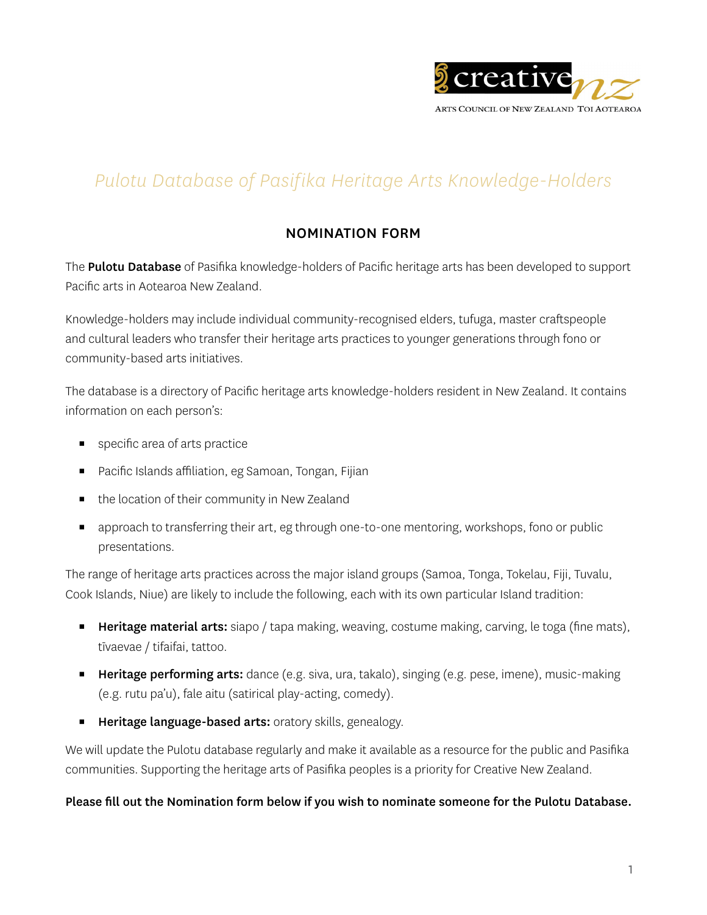

# *Pulotu Database of Pasifika Heritage Arts Knowledge-Holders*

# NOMINATION FORM

The Pulotu Database of Pasifika knowledge-holders of Pacific heritage arts has been developed to support Pacific arts in Aotearoa New Zealand.

Knowledge-holders may include individual community-recognised elders, tufuga, master craftspeople and cultural leaders who transfer their heritage arts practices to younger generations through fono or community-based arts initiatives.

The database is a directory of Pacific heritage arts knowledge-holders resident in New Zealand. It contains information on each person's:

- **EXECUTE:** specific area of arts practice
- Pacific Islands affiliation, eg Samoan, Tongan, Fijian
- the location of their community in New Zealand
- **EXECT** approach to transferring their art, eg through one-to-one mentoring, workshops, fono or public presentations.

The range of heritage arts practices across the major island groups (Samoa, Tonga, Tokelau, Fiji, Tuvalu, Cook Islands, Niue) are likely to include the following, each with its own particular Island tradition:

- **E** Heritage material arts: siapo / tapa making, weaving, costume making, carving, le toga (fine mats), tīvaevae / tifaifai, tattoo.
- **E** Heritage performing arts: dance (e.g. siva, ura, takalo), singing (e.g. pese, imene), music-making (e.g. rutu pa'u), fale aitu (satirical play-acting, comedy).
- **E** Heritage language-based arts: oratory skills, genealogy.

We will update the Pulotu database regularly and make it available as a resource for the public and Pasifika communities. Supporting the heritage arts of Pasifika peoples is a priority for Creative New Zealand.

#### Please fill out the Nomination form below if you wish to nominate someone for the Pulotu Database.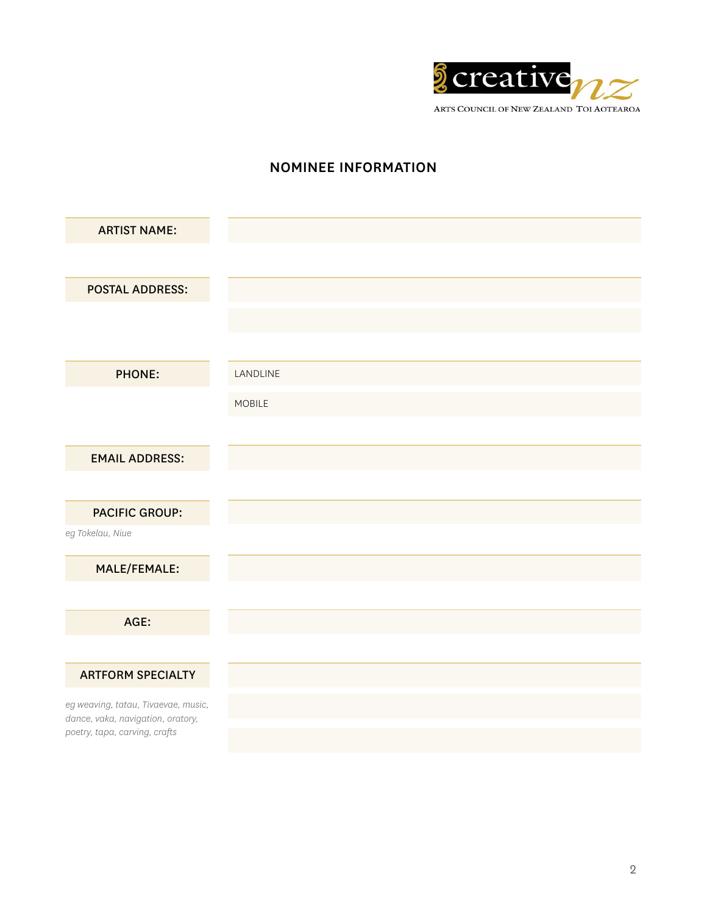

# NOMINEE INFORMATION

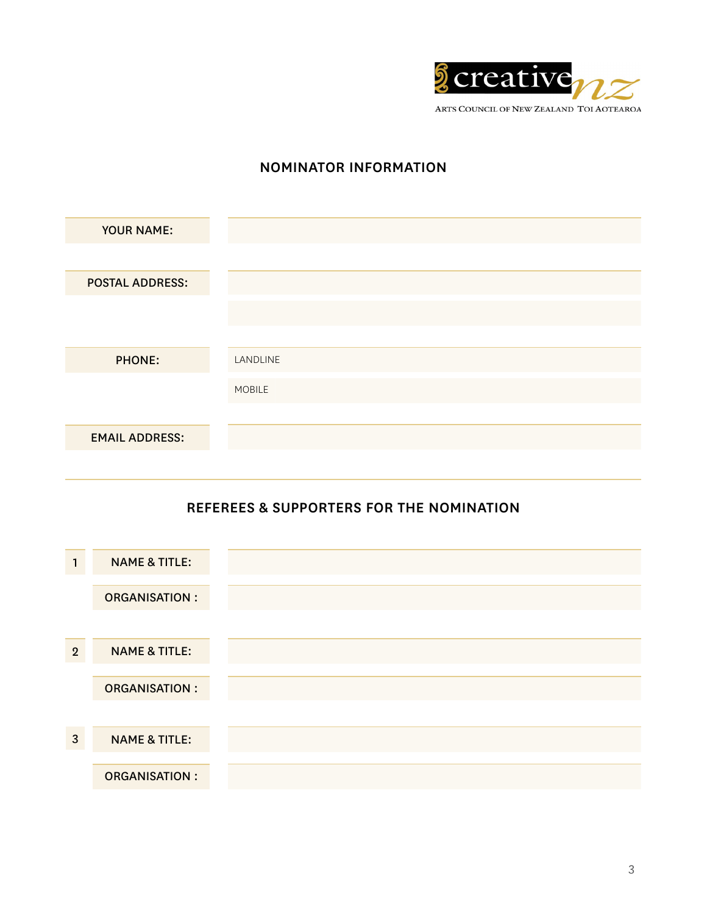

# NOMINATOR INFORMATION



### REFEREES & SUPPORTERS FOR THE NOMINATION

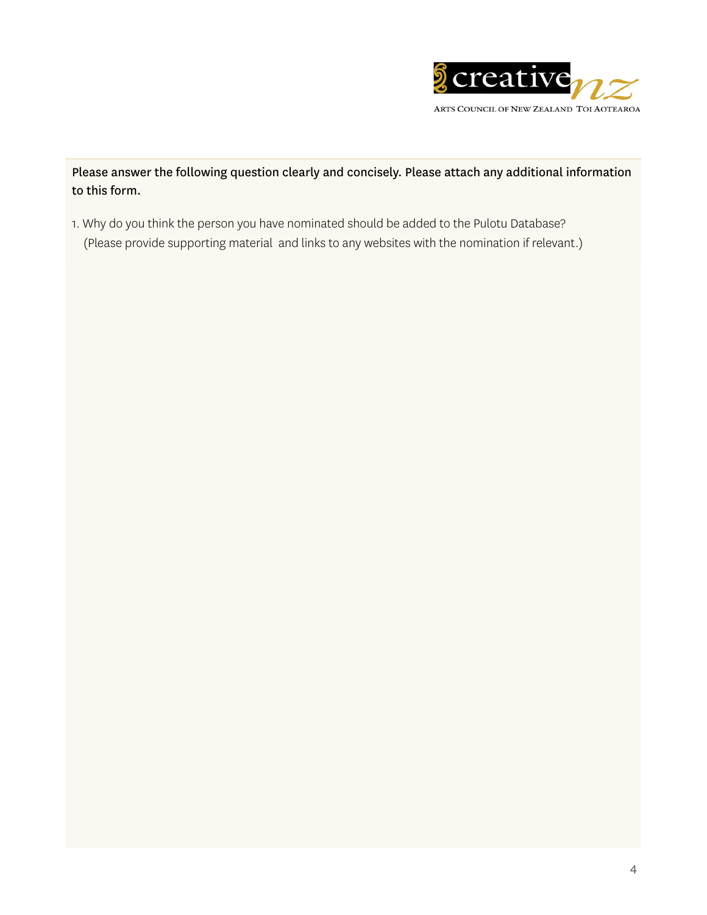

Please answer the following question clearly and concisely. Please attach any additional information to this form.

1. Why do you think the person you have nominated should be added to the Pulotu Database? (Please provide supporting material and links to any websites with the nomination if relevant.)